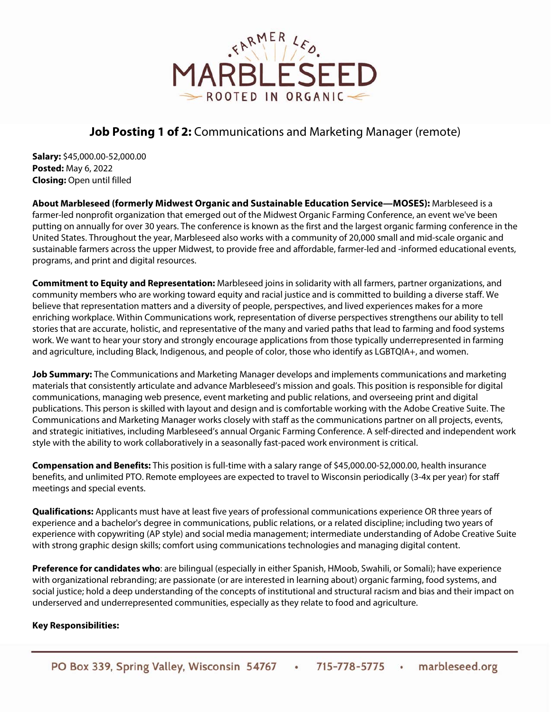

# **Job Posting 1 of 2:** Communications and Marketing Manager (remote)

**Salary:** \$45,000.00-52,000.00 **Posted:** May 6, 2022 **Closing:** Open until filled

**About Marbleseed (formerly Midwest Organic and Sustainable Education Service—MOSES):** Marbleseed is a farmer-led nonprofit organization that emerged out of the Midwest Organic Farming Conference, an event we've been putting on annually for over 30 years. The conference is known as the first and the largest organic farming conference in the United States. Throughout the year, Marbleseed also works with a community of 20,000 small and mid-scale organic and sustainable farmers across the upper Midwest, to provide free and affordable, farmer-led and -informed educational events, programs, and print and digital resources.

**Commitment to Equity and Representation:** Marbleseed joins in solidarity with all farmers, partner organizations, and community members who are working toward equity and racial justice and is committed to building a diverse staff. We believe that representation matters and a diversity of people, perspectives, and lived experiences makes for a more enriching workplace. Within Communications work, representation of diverse perspectives strengthens our ability to tell stories that are accurate, holistic, and representative of the many and varied paths that lead to farming and food systems work. We want to hear your story and strongly encourage applications from those typically underrepresented in farming and agriculture, including Black, Indigenous, and people of color, those who identify as LGBTQIA+, and women.

**Job Summary:** The Communications and Marketing Manager develops and implements communications and marketing materials that consistently articulate and advance Marbleseed's mission and goals. This position is responsible for digital communications, managing web presence, event marketing and public relations, and overseeing print and digital publications. This person is skilled with layout and design and is comfortable working with the Adobe Creative Suite. The Communications and Marketing Manager works closely with staff as the communications partner on all projects, events, and strategic initiatives, including Marbleseed's annual Organic Farming Conference. A self-directed and independent work style with the ability to work collaboratively in a seasonally fast-paced work environment is critical.

**Compensation and Benefits:** This position is full-time with a salary range of \$45,000.00-52,000.00, health insurance benefits, and unlimited PTO. Remote employees are expected to travel to Wisconsin periodically (3-4x per year) for staff meetings and special events.

**Qualifications:** Applicants must have at least five years of professional communications experience OR three years of experience and a bachelor's degree in communications, public relations, or a related discipline; including two years of experience with copywriting (AP style) and social media management; intermediate understanding of Adobe Creative Suite with strong graphic design skills; comfort using communications technologies and managing digital content.

**Preference for candidates who**: are bilingual (especially in either Spanish, HMoob, Swahili, or Somali); have experience with organizational rebranding; are passionate (or are interested in learning about) organic farming, food systems, and social justice; hold a deep understanding of the concepts of institutional and structural racism and bias and their impact on underserved and underrepresented communities, especially as they relate to food and agriculture.

## **Key Responsibilities:**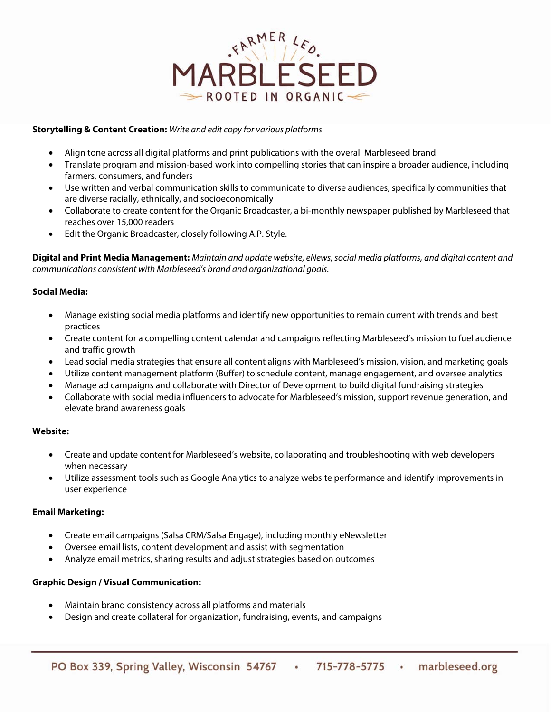

### **Storytelling & Content Creation:** Write and edit copy for various platforms

- Align tone across all digital platforms and print publications with the overall Marbleseed brand
- Translate program and mission-based work into compelling stories that can inspire a broader audience, including farmers, consumers, and funders
- Use written and verbal communication skills to communicate to diverse audiences, specifically communities that are diverse racially, ethnically, and socioeconomically
- Collaborate to create content for the Organic Broadcaster, a bi-monthly newspaper published by Marbleseed that reaches over 15,000 readers
- Edit the Organic Broadcaster, closely following A.P. Style.

**Digital and Print Media Management:** Maintain and update website, eNews, social media platforms, and digital content and communications consistent with Marbleseed's brand and organizational goals.

### **Social Media:**

- Manage existing social media platforms and identify new opportunities to remain current with trends and best practices
- Create content for a compelling content calendar and campaigns reflecting Marbleseed's mission to fuel audience and traffic growth
- Lead social media strategies that ensure all content aligns with Marbleseed's mission, vision, and marketing goals
- Utilize content management platform (Buffer) to schedule content, manage engagement, and oversee analytics
- Manage ad campaigns and collaborate with Director of Development to build digital fundraising strategies
- Collaborate with social media influencers to advocate for Marbleseed's mission, support revenue generation, and elevate brand awareness goals

#### **Website:**

- Create and update content for Marbleseed's website, collaborating and troubleshooting with web developers when necessary
- Utilize assessment tools such as Google Analytics to analyze website performance and identify improvements in user experience

#### **Email Marketing:**

- Create email campaigns (Salsa CRM/Salsa Engage), including monthly eNewsletter
- Oversee email lists, content development and assist with segmentation
- Analyze email metrics, sharing results and adjust strategies based on outcomes

#### **Graphic Design / Visual Communication:**

- Maintain brand consistency across all platforms and materials
- Design and create collateral for organization, fundraising, events, and campaigns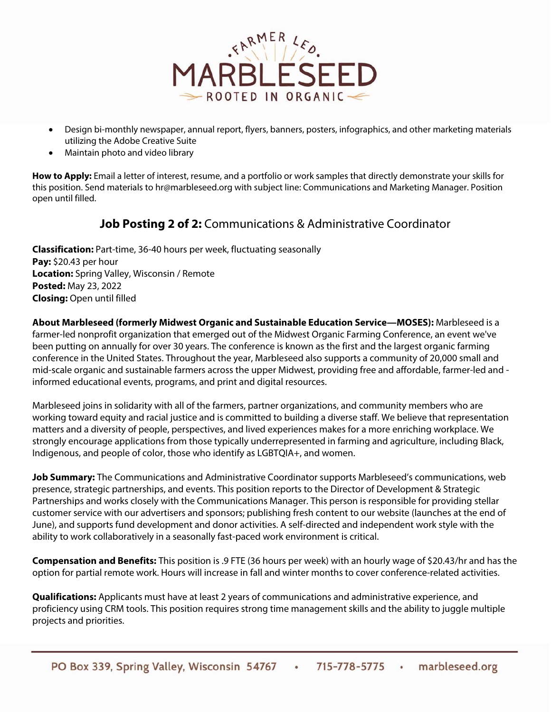

- Design bi-monthly newspaper, annual report, flyers, banners, posters, infographics, and other marketing materials utilizing the Adobe Creative Suite
- Maintain photo and video library

**How to Apply:** Email a letter of interest, resume, and a portfolio or work samples that directly demonstrate your skills for this position. Send materials to hr@marbleseed.org with subject line: Communications and Marketing Manager. Position open until filled.

# **Job Posting 2 of 2:** Communications & Administrative Coordinator

**Classification:** Part-time, 36-40 hours per week, fluctuating seasonally **Pay:** \$20.43 per hour **Location:** Spring Valley, Wisconsin / Remote **Posted:** May 23, 2022 **Closing:** Open until filled

**About Marbleseed (formerly Midwest Organic and Sustainable Education Service—MOSES):** Marbleseed is a farmer-led nonprofit organization that emerged out of the Midwest Organic Farming Conference, an event we've been putting on annually for over 30 years. The conference is known as the first and the largest organic farming conference in the United States. Throughout the year, Marbleseed also supports a community of 20,000 small and mid-scale organic and sustainable farmers across the upper Midwest, providing free and affordable, farmer-led and informed educational events, programs, and print and digital resources.

Marbleseed joins in solidarity with all of the farmers, partner organizations, and community members who are working toward equity and racial justice and is committed to building a diverse staff. We believe that representation matters and a diversity of people, perspectives, and lived experiences makes for a more enriching workplace. We strongly encourage applications from those typically underrepresented in farming and agriculture, including Black, Indigenous, and people of color, those who identify as LGBTQIA+, and women.

**Job Summary:** The Communications and Administrative Coordinator supports Marbleseed's communications, web presence, strategic partnerships, and events. This position reports to the Director of Development & Strategic Partnerships and works closely with the Communications Manager. This person is responsible for providing stellar customer service with our advertisers and sponsors; publishing fresh content to our website (launches at the end of June), and supports fund development and donor activities. A self-directed and independent work style with the ability to work collaboratively in a seasonally fast-paced work environment is critical.

**Compensation and Benefits:** This position is .9 FTE (36 hours per week) with an hourly wage of \$20.43/hr and has the option for partial remote work. Hours will increase in fall and winter months to cover conference-related activities.

**Qualifications:** Applicants must have at least 2 years of communications and administrative experience, and proficiency using CRM tools. This position requires strong time management skills and the ability to juggle multiple projects and priorities.